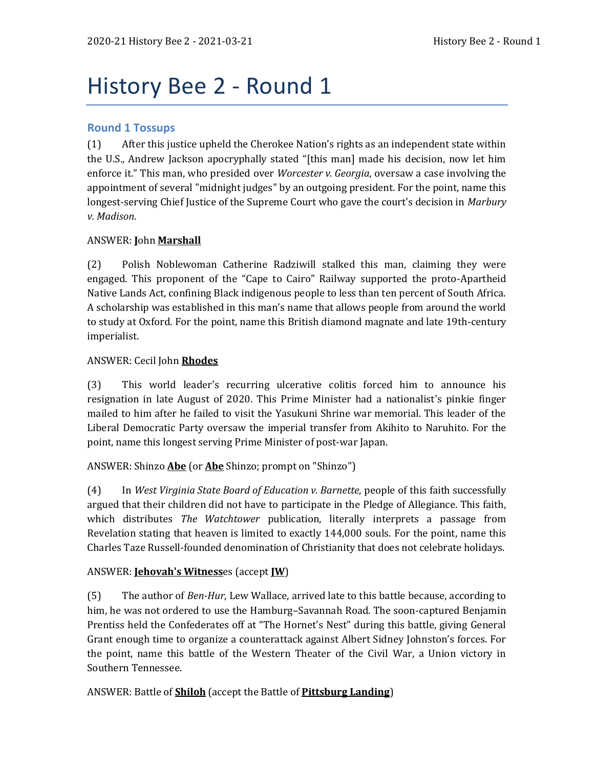# History Bee 2 - Round 1

# **Round 1 Tossups**

(1) After this justice upheld the Cherokee Nation's rights as an independent state within the U.S., Andrew Jackson apocryphally stated "[this man] made his decision, now let him enforce it." This man, who presided over *Worcester v. Georgia*, oversaw a case involving the appointment of several "midnight judges" by an outgoing president. For the point, name this longest-serving Chief Justice of the Supreme Court who gave the court's decision in *Marbury v. Madison*.

# ANSWER: **J**ohn **Marshall**

(2) Polish Noblewoman Catherine Radziwill stalked this man, claiming they were engaged. This proponent of the "Cape to Cairo" Railway supported the proto-Apartheid Native Lands Act, confining Black indigenous people to less than ten percent of South Africa. A scholarship was established in this man's name that allows people from around the world to study at Oxford. For the point, name this British diamond magnate and late 19th-century imperialist.

# ANSWER: Cecil John **Rhodes**

(3) This world leader's recurring ulcerative colitis forced him to announce his resignation in late August of 2020. This Prime Minister had a nationalist's pinkie finger mailed to him after he failed to visit the Yasukuni Shrine war memorial. This leader of the Liberal Democratic Party oversaw the imperial transfer from Akihito to Naruhito. For the point, name this longest serving Prime Minister of post-war Japan.

ANSWER: Shinzo **Abe** (or **Abe** Shinzo; prompt on "Shinzo")

(4) In *West Virginia State Board of Education v. Barnette*, people of this faith successfully argued that their children did not have to participate in the Pledge of Allegiance. This faith, which distributes *The Watchtower* publication, literally interprets a passage from Revelation stating that heaven is limited to exactly 144,000 souls. For the point, name this Charles Taze Russell-founded denomination of Christianity that does not celebrate holidays.

## ANSWER: **Jehovah's Witness**es (accept **JW**)

(5) The author of *Ben-Hur*, Lew Wallace, arrived late to this battle because, according to him, he was not ordered to use the Hamburg–Savannah Road. The soon-captured Benjamin Prentiss held the Confederates off at "The Hornet's Nest" during this battle, giving General Grant enough time to organize a counterattack against Albert Sidney Johnston's forces. For the point, name this battle of the Western Theater of the Civil War, a Union victory in Southern Tennessee.

ANSWER: Battle of **Shiloh** (accept the Battle of **Pittsburg Landing**)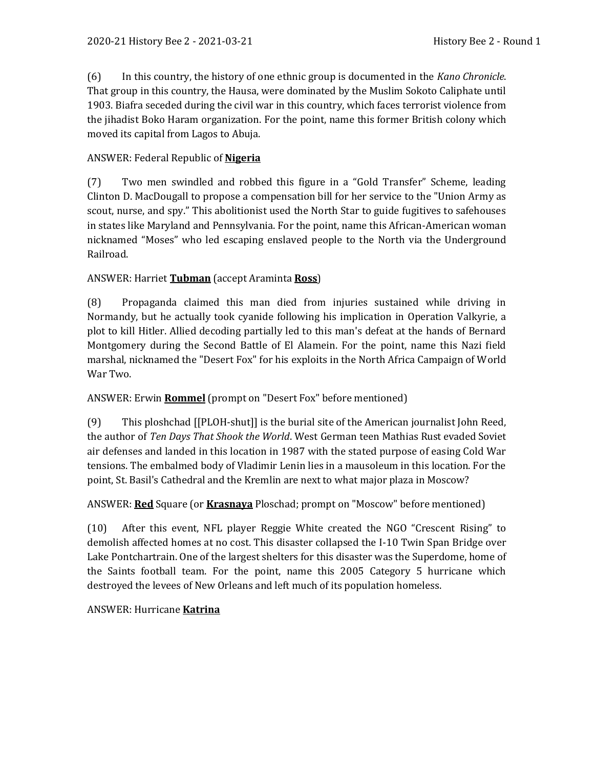(6) In this country, the history of one ethnic group is documented in the *Kano Chronicle*. That group in this country, the Hausa, were dominated by the Muslim Sokoto Caliphate until 1903. Biafra seceded during the civil war in this country, which faces terrorist violence from the jihadist Boko Haram organization. For the point, name this former British colony which moved its capital from Lagos to Abuja.

## ANSWER: Federal Republic of **Nigeria**

(7) Two men swindled and robbed this figure in a "Gold Transfer" Scheme, leading Clinton D. MacDougall to propose a compensation bill for her service to the "Union Army as scout, nurse, and spy." This abolitionist used the North Star to guide fugitives to safehouses in states like Maryland and Pennsylvania. For the point, name this African-American woman nicknamed "Moses" who led escaping enslaved people to the North via the Underground Railroad.

## ANSWER: Harriet **Tubman** (accept Araminta **Ross**)

(8) Propaganda claimed this man died from injuries sustained while driving in Normandy, but he actually took cyanide following his implication in Operation Valkyrie, a plot to kill Hitler. Allied decoding partially led to this man's defeat at the hands of Bernard Montgomery during the Second Battle of El Alamein. For the point, name this Nazi field marshal, nicknamed the "Desert Fox" for his exploits in the North Africa Campaign of World War Two.

## ANSWER: Erwin **Rommel** (prompt on "Desert Fox" before mentioned)

(9) This ploshchad [[PLOH-shut]] is the burial site of the American journalist John Reed, the author of *Ten Days That Shook the World*. West German teen Mathias Rust evaded Soviet air defenses and landed in this location in 1987 with the stated purpose of easing Cold War tensions. The embalmed body of Vladimir Lenin lies in a mausoleum in this location. For the point, St. Basil's Cathedral and the Kremlin are next to what major plaza in Moscow?

## ANSWER: **Red** Square (or **Krasnaya** Ploschad; prompt on "Moscow" before mentioned)

(10) After this event, NFL player Reggie White created the NGO "Crescent Rising" to demolish affected homes at no cost. This disaster collapsed the I-10 Twin Span Bridge over Lake Pontchartrain. One of the largest shelters for this disaster was the Superdome, home of the Saints football team. For the point, name this 2005 Category 5 hurricane which destroyed the levees of New Orleans and left much of its population homeless.

## ANSWER: Hurricane **Katrina**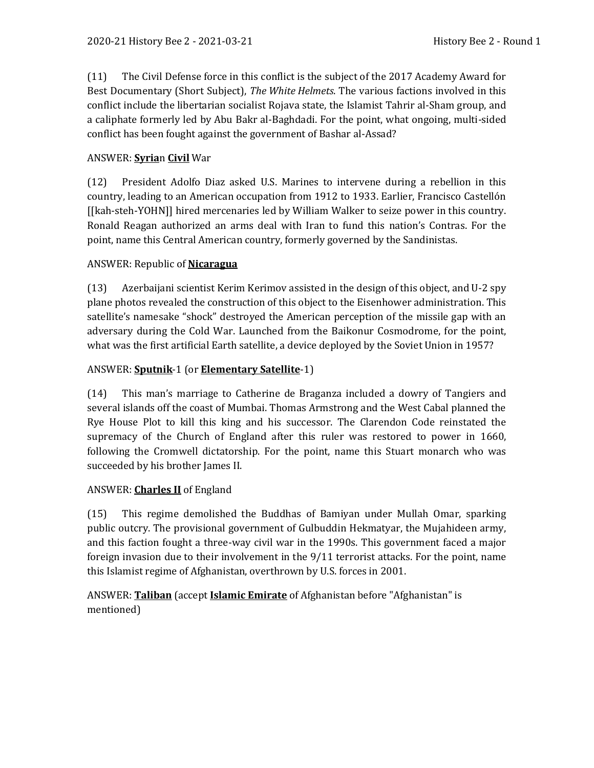(11) The Civil Defense force in this conflict is the subject of the 2017 Academy Award for Best Documentary (Short Subject), *The White Helmets*. The various factions involved in this conflict include the libertarian socialist Rojava state, the Islamist Tahrir al-Sham group, and a caliphate formerly led by Abu Bakr al-Baghdadi. For the point, what ongoing, multi-sided conflict has been fought against the government of Bashar al-Assad?

# ANSWER: **Syria**n **Civil** War

(12) President Adolfo Diaz asked U.S. Marines to intervene during a rebellion in this country, leading to an American occupation from 1912 to 1933. Earlier, Francisco Castellón [[kah-steh-YOHN]] hired mercenaries led by William Walker to seize power in this country. Ronald Reagan authorized an arms deal with Iran to fund this nation's Contras. For the point, name this Central American country, formerly governed by the Sandinistas.

# ANSWER: Republic of **Nicaragua**

(13) Azerbaijani scientist Kerim Kerimov assisted in the design of this object, and U-2 spy plane photos revealed the construction of this object to the Eisenhower administration. This satellite's namesake "shock" destroyed the American perception of the missile gap with an adversary during the Cold War. Launched from the Baikonur Cosmodrome, for the point, what was the first artificial Earth satellite, a device deployed by the Soviet Union in 1957?

# ANSWER: **Sputnik**-1 (or **Elementary Satellite**-1)

(14) This man's marriage to Catherine de Braganza included a dowry of Tangiers and several islands off the coast of Mumbai. Thomas Armstrong and the West Cabal planned the Rye House Plot to kill this king and his successor. The Clarendon Code reinstated the supremacy of the Church of England after this ruler was restored to power in 1660, following the Cromwell dictatorship. For the point, name this Stuart monarch who was succeeded by his brother James II.

## ANSWER: **Charles II** of England

(15) This regime demolished the Buddhas of Bamiyan under Mullah Omar, sparking public outcry. The provisional government of Gulbuddin Hekmatyar, the Mujahideen army, and this faction fought a three-way civil war in the 1990s. This government faced a major foreign invasion due to their involvement in the 9/11 terrorist attacks. For the point, name this Islamist regime of Afghanistan, overthrown by U.S. forces in 2001.

ANSWER: **Taliban** (accept **Islamic Emirate** of Afghanistan before "Afghanistan" is mentioned)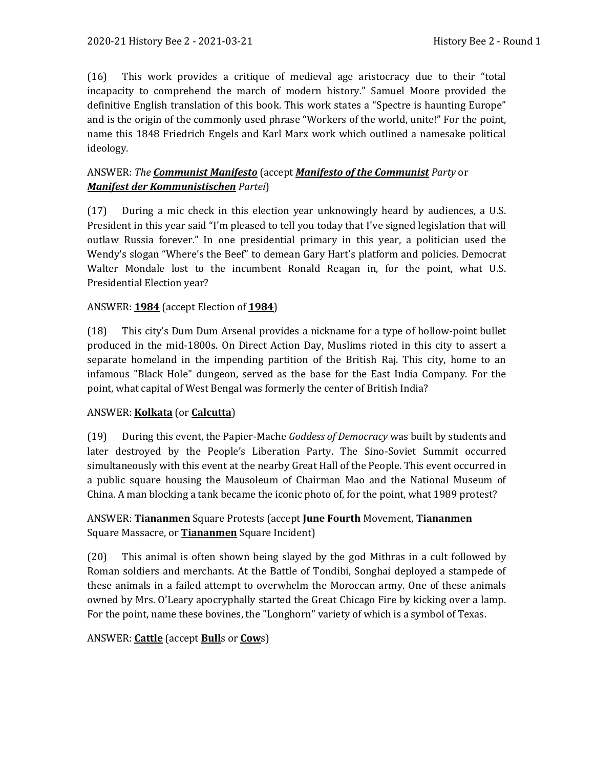(16) This work provides a critique of medieval age aristocracy due to their "total incapacity to comprehend the march of modern history." Samuel Moore provided the definitive English translation of this book. This work states a "Spectre is haunting Europe" and is the origin of the commonly used phrase "Workers of the world, unite!" For the point, name this 1848 Friedrich Engels and Karl Marx work which outlined a namesake political ideology.

# ANSWER: *The Communist Manifesto* (accept *Manifesto of the Communist Party* or *Manifest der Kommunistischen Partei*)

(17) During a mic check in this election year unknowingly heard by audiences, a U.S. President in this year said "I'm pleased to tell you today that I've signed legislation that will outlaw Russia forever." In one presidential primary in this year, a politician used the Wendy's slogan "Where's the Beef" to demean Gary Hart's platform and policies. Democrat Walter Mondale lost to the incumbent Ronald Reagan in, for the point, what U.S. Presidential Election year?

# ANSWER: **1984** (accept Election of **1984**)

(18) This city's Dum Dum Arsenal provides a nickname for a type of hollow-point bullet produced in the mid-1800s. On Direct Action Day, Muslims rioted in this city to assert a separate homeland in the impending partition of the British Raj. This city, home to an infamous "Black Hole" dungeon, served as the base for the East India Company. For the point, what capital of West Bengal was formerly the center of British India?

## ANSWER: **Kolkata** (or **Calcutta**)

(19) During this event, the Papier-Mache *Goddess of Democracy* was built by students and later destroyed by the People's Liberation Party. The Sino-Soviet Summit occurred simultaneously with this event at the nearby Great Hall of the People. This event occurred in a public square housing the Mausoleum of Chairman Mao and the National Museum of China. A man blocking a tank became the iconic photo of, for the point, what 1989 protest?

# ANSWER: **Tiananmen** Square Protests (accept **June Fourth** Movement, **Tiananmen** Square Massacre, or **Tiananmen** Square Incident)

(20) This animal is often shown being slayed by the god Mithras in a cult followed by Roman soldiers and merchants. At the Battle of Tondibi, Songhai deployed a stampede of these animals in a failed attempt to overwhelm the Moroccan army. One of these animals owned by Mrs. O'Leary apocryphally started the Great Chicago Fire by kicking over a lamp. For the point, name these bovines, the "Longhorn" variety of which is a symbol of Texas.

## ANSWER: **Cattle** (accept **Bull**s or **Cow**s)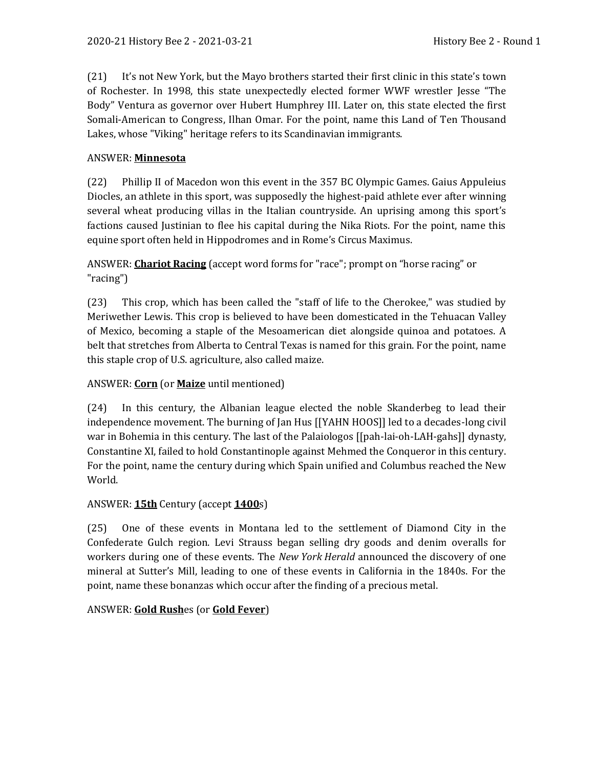(21) It's not New York, but the Mayo brothers started their first clinic in this state's town of Rochester. In 1998, this state unexpectedly elected former WWF wrestler Jesse "The Body" Ventura as governor over Hubert Humphrey III. Later on, this state elected the first Somali-American to Congress, Ilhan Omar. For the point, name this Land of Ten Thousand Lakes, whose "Viking" heritage refers to its Scandinavian immigrants.

#### ANSWER: **Minnesota**

(22) Phillip II of Macedon won this event in the 357 BC Olympic Games. Gaius Appuleius Diocles, an athlete in this sport, was supposedly the highest-paid athlete ever after winning several wheat producing villas in the Italian countryside. An uprising among this sport's factions caused Justinian to flee his capital during the Nika Riots. For the point, name this equine sport often held in Hippodromes and in Rome's Circus Maximus.

ANSWER: **Chariot Racing** (accept word forms for "race"; prompt on "horse racing" or "racing")

(23) This crop, which has been called the "staff of life to the Cherokee," was studied by Meriwether Lewis. This crop is believed to have been domesticated in the Tehuacan Valley of Mexico, becoming a staple of the Mesoamerican diet alongside quinoa and potatoes. A belt that stretches from Alberta to Central Texas is named for this grain. For the point, name this staple crop of U.S. agriculture, also called maize.

## ANSWER: **Corn** (or **Maize** until mentioned)

(24) In this century, the Albanian league elected the noble Skanderbeg to lead their independence movement. The burning of Jan Hus [[YAHN HOOS]] led to a decades-long civil war in Bohemia in this century. The last of the Palaiologos [[pah-lai-oh-LAH-gahs]] dynasty, Constantine XI, failed to hold Constantinople against Mehmed the Conqueror in this century. For the point, name the century during which Spain unified and Columbus reached the New World.

## ANSWER: **15th** Century (accept **1400**s)

(25) One of these events in Montana led to the settlement of Diamond City in the Confederate Gulch region. Levi Strauss began selling dry goods and denim overalls for workers during one of these events. The *New York Herald* announced the discovery of one mineral at Sutter's Mill, leading to one of these events in California in the 1840s. For the point, name these bonanzas which occur after the finding of a precious metal.

#### ANSWER: **Gold Rush**es (or **Gold Fever**)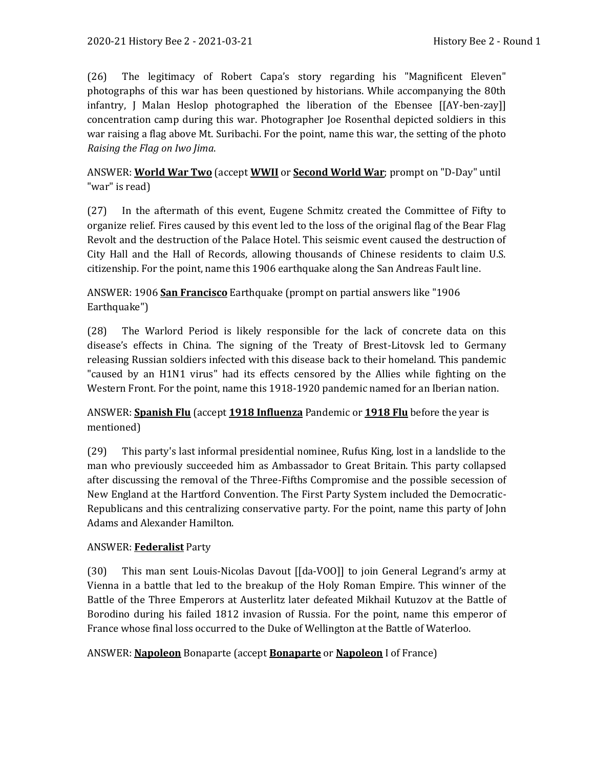(26) The legitimacy of Robert Capa's story regarding his "Magnificent Eleven" photographs of this war has been questioned by historians. While accompanying the 80th infantry, J Malan Heslop photographed the liberation of the Ebensee [[AY-ben-zay]] concentration camp during this war. Photographer Joe Rosenthal depicted soldiers in this war raising a flag above Mt. Suribachi. For the point, name this war, the setting of the photo *Raising the Flag on Iwo Jima*.

ANSWER: **World War Two** (accept **WWII** or **Second World War**; prompt on "D-Day" until "war" is read)

(27) In the aftermath of this event, Eugene Schmitz created the Committee of Fifty to organize relief. Fires caused by this event led to the loss of the original flag of the Bear Flag Revolt and the destruction of the Palace Hotel. This seismic event caused the destruction of City Hall and the Hall of Records, allowing thousands of Chinese residents to claim U.S. citizenship. For the point, name this 1906 earthquake along the San Andreas Fault line.

ANSWER: 1906 **San Francisco** Earthquake (prompt on partial answers like "1906 Earthquake")

(28) The Warlord Period is likely responsible for the lack of concrete data on this disease's effects in China. The signing of the Treaty of Brest-Litovsk led to Germany releasing Russian soldiers infected with this disease back to their homeland. This pandemic "caused by an H1N1 virus" had its effects censored by the Allies while fighting on the Western Front. For the point, name this 1918-1920 pandemic named for an Iberian nation.

ANSWER: **Spanish Flu** (accept **1918 Influenza** Pandemic or **1918 Flu** before the year is mentioned)

(29) This party's last informal presidential nominee, Rufus King, lost in a landslide to the man who previously succeeded him as Ambassador to Great Britain. This party collapsed after discussing the removal of the Three-Fifths Compromise and the possible secession of New England at the Hartford Convention. The First Party System included the Democratic-Republicans and this centralizing conservative party. For the point, name this party of John Adams and Alexander Hamilton.

# ANSWER: **Federalist** Party

(30) This man sent Louis-Nicolas Davout [[da-VOO]] to join General Legrand's army at Vienna in a battle that led to the breakup of the Holy Roman Empire. This winner of the Battle of the Three Emperors at Austerlitz later defeated Mikhail Kutuzov at the Battle of Borodino during his failed 1812 invasion of Russia. For the point, name this emperor of France whose final loss occurred to the Duke of Wellington at the Battle of Waterloo.

# ANSWER: **Napoleon** Bonaparte (accept **Bonaparte** or **Napoleon** I of France)